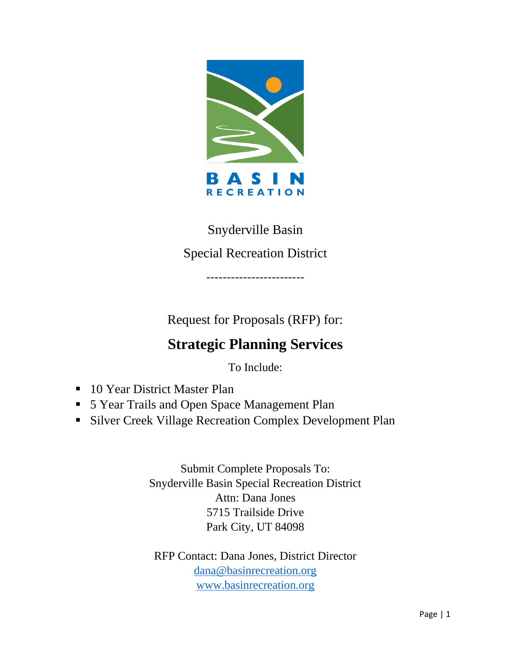

# Snyderville Basin

## Special Recreation District

------------------------

Request for Proposals (RFP) for:

# **Strategic Planning Services**

To Include:

- 10 Year District Master Plan
- 5 Year Trails and Open Space Management Plan
- **Exercise Silver Creek Village Recreation Complex Development Plan**

Submit Complete Proposals To: Snyderville Basin Special Recreation District Attn: Dana Jones 5715 Trailside Drive Park City, UT 84098

RFP Contact: Dana Jones, District Director [dana@basinrecreation.org](mailto:dana@basinrecreation.org) [www.basinrecreation.org](http://www.basinrecreation.org/)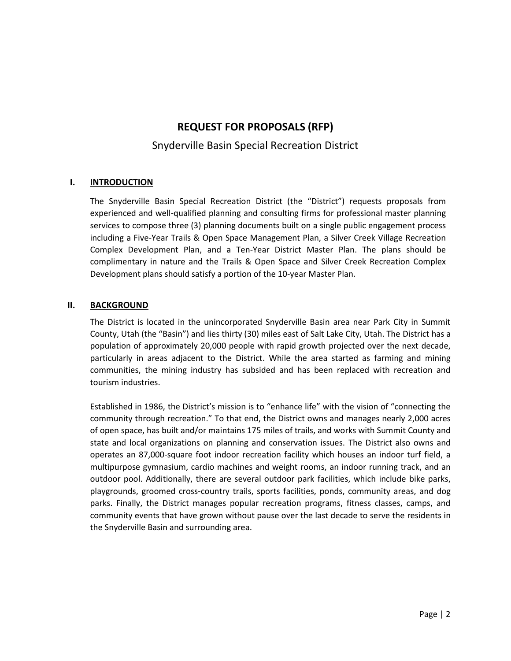## **REQUEST FOR PROPOSALS (RFP)**

### Snyderville Basin Special Recreation District

#### **I. INTRODUCTION**

The Snyderville Basin Special Recreation District (the "District") requests proposals from experienced and well-qualified planning and consulting firms for professional master planning services to compose three (3) planning documents built on a single public engagement process including a Five-Year Trails & Open Space Management Plan, a Silver Creek Village Recreation Complex Development Plan, and a Ten-Year District Master Plan. The plans should be complimentary in nature and the Trails & Open Space and Silver Creek Recreation Complex Development plans should satisfy a portion of the 10-year Master Plan.

#### **II. BACKGROUND**

The District is located in the unincorporated Snyderville Basin area near Park City in Summit County, Utah (the "Basin") and lies thirty (30) miles east of Salt Lake City, Utah. The District has a population of approximately 20,000 people with rapid growth projected over the next decade, particularly in areas adjacent to the District. While the area started as farming and mining communities, the mining industry has subsided and has been replaced with recreation and tourism industries.

Established in 1986, the District's mission is to "enhance life" with the vision of "connecting the community through recreation." To that end, the District owns and manages nearly 2,000 acres of open space, has built and/or maintains 175 miles of trails, and works with Summit County and state and local organizations on planning and conservation issues. The District also owns and operates an 87,000-square foot indoor recreation facility which houses an indoor turf field, a multipurpose gymnasium, cardio machines and weight rooms, an indoor running track, and an outdoor pool. Additionally, there are several outdoor park facilities, which include bike parks, playgrounds, groomed cross-country trails, sports facilities, ponds, community areas, and dog parks. Finally, the District manages popular recreation programs, fitness classes, camps, and community events that have grown without pause over the last decade to serve the residents in the Snyderville Basin and surrounding area.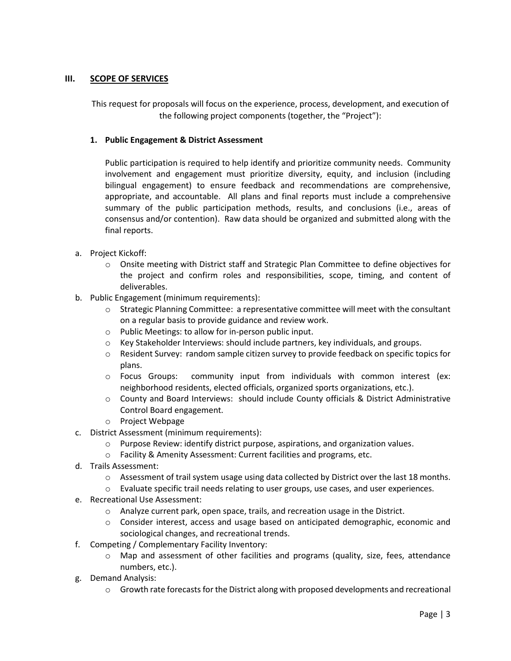#### **III. SCOPE OF SERVICES**

This request for proposals will focus on the experience, process, development, and execution of the following project components (together, the "Project"):

#### **1. Public Engagement & District Assessment**

Public participation is required to help identify and prioritize community needs. Community involvement and engagement must prioritize diversity, equity, and inclusion (including bilingual engagement) to ensure feedback and recommendations are comprehensive, appropriate, and accountable. All plans and final reports must include a comprehensive summary of the public participation methods, results, and conclusions (i.e., areas of consensus and/or contention). Raw data should be organized and submitted along with the final reports.

- a. Project Kickoff:
	- o Onsite meeting with District staff and Strategic Plan Committee to define objectives for the project and confirm roles and responsibilities, scope, timing, and content of deliverables.
- b. Public Engagement (minimum requirements):
	- $\circ$  Strategic Planning Committee: a representative committee will meet with the consultant on a regular basis to provide guidance and review work.
	- o Public Meetings: to allow for in-person public input.
	- $\circ$  Key Stakeholder Interviews: should include partners, key individuals, and groups.
	- o Resident Survey: random sample citizen survey to provide feedback on specific topics for plans.
	- o Focus Groups: community input from individuals with common interest (ex: neighborhood residents, elected officials, organized sports organizations, etc.).
	- o County and Board Interviews: should include County officials & District Administrative Control Board engagement.
	- o Project Webpage
- c. District Assessment (minimum requirements):
	- o Purpose Review: identify district purpose, aspirations, and organization values.
	- o Facility & Amenity Assessment: Current facilities and programs, etc.
- d. Trails Assessment:
	- o Assessment of trail system usage using data collected by District over the last 18 months.
	- $\circ$  Evaluate specific trail needs relating to user groups, use cases, and user experiences.
- e. Recreational Use Assessment:
	- $\circ$  Analyze current park, open space, trails, and recreation usage in the District.
	- o Consider interest, access and usage based on anticipated demographic, economic and sociological changes, and recreational trends.
- f. Competing / Complementary Facility Inventory:
	- $\circ$  Map and assessment of other facilities and programs (quality, size, fees, attendance numbers, etc.).
- g. Demand Analysis:
	- $\circ$  Growth rate forecasts for the District along with proposed developments and recreational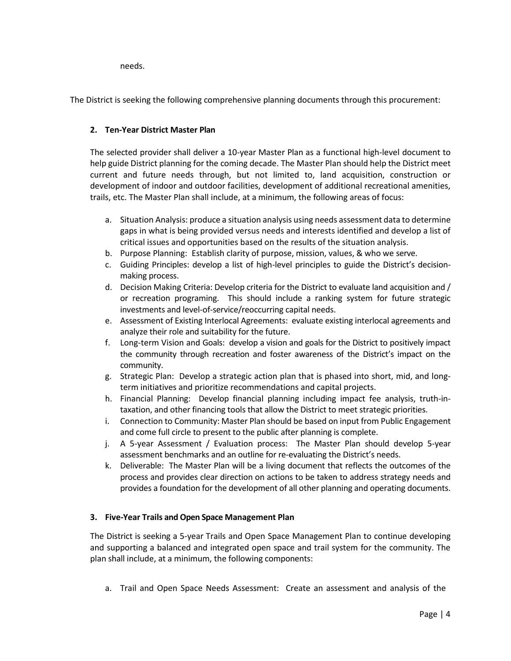needs.

The District is seeking the following comprehensive planning documents through this procurement:

#### **2. Ten-Year District Master Plan**

The selected provider shall deliver a 10-year Master Plan as a functional high-level document to help guide District planning for the coming decade. The Master Plan should help the District meet current and future needs through, but not limited to, land acquisition, construction or development of indoor and outdoor facilities, development of additional recreational amenities, trails, etc. The Master Plan shall include, at a minimum, the following areas of focus:

- a. Situation Analysis: produce a situation analysis using needs assessment data to determine gaps in what is being provided versus needs and interests identified and develop a list of critical issues and opportunities based on the results of the situation analysis.
- b. Purpose Planning: Establish clarity of purpose, mission, values, & who we serve.
- c. Guiding Principles: develop a list of high-level principles to guide the District's decisionmaking process.
- d. Decision Making Criteria: Develop criteria for the District to evaluate land acquisition and / or recreation programing. This should include a ranking system for future strategic investments and level-of-service/reoccurring capital needs.
- e. Assessment of Existing Interlocal Agreements: evaluate existing interlocal agreements and analyze their role and suitability for the future.
- f. Long-term Vision and Goals: develop a vision and goals for the District to positively impact the community through recreation and foster awareness of the District's impact on the community.
- g. Strategic Plan: Develop a strategic action plan that is phased into short, mid, and longterm initiatives and prioritize recommendations and capital projects.
- h. Financial Planning: Develop financial planning including impact fee analysis, truth-intaxation, and other financing tools that allow the District to meet strategic priorities.
- i. Connection to Community: Master Plan should be based on input from Public Engagement and come full circle to present to the public after planning is complete.
- j. A 5-year Assessment / Evaluation process: The Master Plan should develop 5-year assessment benchmarks and an outline for re-evaluating the District's needs.
- k. Deliverable: The Master Plan will be a living document that reflects the outcomes of the process and provides clear direction on actions to be taken to address strategy needs and provides a foundation for the development of all other planning and operating documents.

#### **3. Five-Year Trails and Open Space Management Plan**

The District is seeking a 5-year Trails and Open Space Management Plan to continue developing and supporting a balanced and integrated open space and trail system for the community. The plan shall include, at a minimum, the following components:

a. Trail and Open Space Needs Assessment: Create an assessment and analysis of the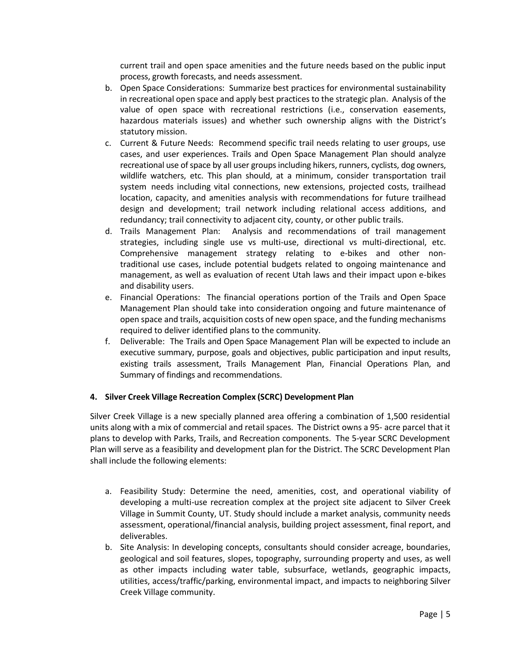current trail and open space amenities and the future needs based on the public input process, growth forecasts, and needs assessment.

- b. Open Space Considerations: Summarize best practices for environmental sustainability in recreational open space and apply best practices to the strategic plan. Analysis of the value of open space with recreational restrictions (i.e., conservation easements, hazardous materials issues) and whether such ownership aligns with the District's statutory mission.
- c. Current & Future Needs: Recommend specific trail needs relating to user groups, use cases, and user experiences. Trails and Open Space Management Plan should analyze recreational use of space by all user groups including hikers, runners, cyclists, dog owners, wildlife watchers, etc. This plan should, at a minimum, consider transportation trail system needs including vital connections, new extensions, projected costs, trailhead location, capacity, and amenities analysis with recommendations for future trailhead design and development; trail network including relational access additions, and redundancy; trail connectivity to adjacent city, county, or other public trails.
- d. Trails Management Plan: Analysis and recommendations of trail management strategies, including single use vs multi-use, directional vs multi-directional, etc. Comprehensive management strategy relating to e-bikes and other nontraditional use cases, include potential budgets related to ongoing maintenance and management, as well as evaluation of recent Utah laws and their impact upon e-bikes and disability users.
- e. Financial Operations: The financial operations portion of the Trails and Open Space Management Plan should take into consideration ongoing and future maintenance of open space and trails, acquisition costs of new open space, and the funding mechanisms required to deliver identified plans to the community.
- f. Deliverable: The Trails and Open Space Management Plan will be expected to include an executive summary, purpose, goals and objectives, public participation and input results, existing trails assessment, Trails Management Plan, Financial Operations Plan, and Summary of findings and recommendations.

#### **4. Silver Creek Village Recreation Complex (SCRC) Development Plan**

Silver Creek Village is a new specially planned area offering a combination of 1,500 residential units along with a mix of commercial and retail spaces. The District owns a 95- acre parcel that it plans to develop with Parks, Trails, and Recreation components. The 5-year SCRC Development Plan will serve as a feasibility and development plan for the District. The SCRC Development Plan shall include the following elements:

- a. Feasibility Study: Determine the need, amenities, cost, and operational viability of developing a multi-use recreation complex at the project site adjacent to Silver Creek Village in Summit County, UT. Study should include a market analysis, community needs assessment, operational/financial analysis, building project assessment, final report, and deliverables.
- b. Site Analysis: In developing concepts, consultants should consider acreage, boundaries, geological and soil features, slopes, topography, surrounding property and uses, as well as other impacts including water table, subsurface, wetlands, geographic impacts, utilities, access/traffic/parking, environmental impact, and impacts to neighboring Silver Creek Village community.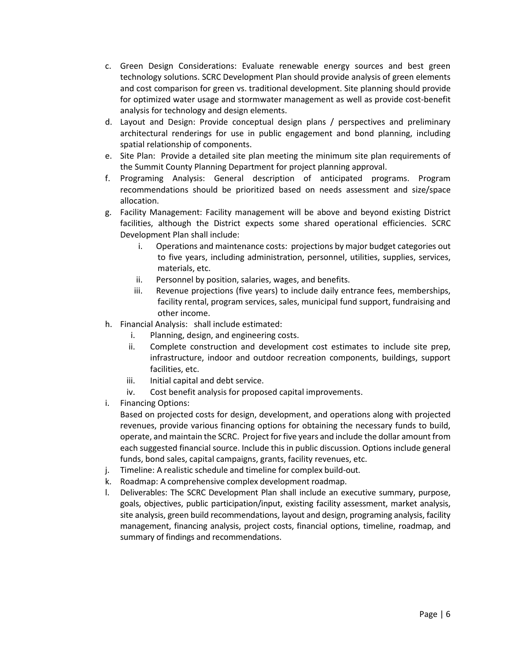- c. Green Design Considerations: Evaluate renewable energy sources and best green technology solutions. SCRC Development Plan should provide analysis of green elements and cost comparison for green vs. traditional development. Site planning should provide for optimized water usage and stormwater management as well as provide cost-benefit analysis for technology and design elements.
- d. Layout and Design: Provide conceptual design plans / perspectives and preliminary architectural renderings for use in public engagement and bond planning, including spatial relationship of components.
- e. Site Plan: Provide a detailed site plan meeting the minimum site plan requirements of the Summit County Planning Department for project planning approval.
- f. Programing Analysis: General description of anticipated programs. Program recommendations should be prioritized based on needs assessment and size/space allocation.
- g. Facility Management: Facility management will be above and beyond existing District facilities, although the District expects some shared operational efficiencies. SCRC Development Plan shall include:
	- i. Operations and maintenance costs: projections by major budget categories out to five years, including administration, personnel, utilities, supplies, services, materials, etc.
	- ii. Personnel by position, salaries, wages, and benefits.
	- iii. Revenue projections (five years) to include daily entrance fees, memberships, facility rental, program services, sales, municipal fund support, fundraising and other income.
- h. Financial Analysis: shall include estimated:
	- i. Planning, design, and engineering costs.
	- ii. Complete construction and development cost estimates to include site prep, infrastructure, indoor and outdoor recreation components, buildings, support facilities, etc.
	- iii. Initial capital and debt service.
	- iv. Cost benefit analysis for proposed capital improvements.
- i. Financing Options:

Based on projected costs for design, development, and operations along with projected revenues, provide various financing options for obtaining the necessary funds to build, operate, and maintain the SCRC. Project for five years and include the dollar amount from each suggested financial source. Include this in public discussion. Options include general funds, bond sales, capital campaigns, grants, facility revenues, etc.

- j. Timeline: A realistic schedule and timeline for complex build-out.
- k. Roadmap: A comprehensive complex development roadmap.
- l. Deliverables: The SCRC Development Plan shall include an executive summary, purpose, goals, objectives, public participation/input, existing facility assessment, market analysis, site analysis, green build recommendations, layout and design, programing analysis, facility management, financing analysis, project costs, financial options, timeline, roadmap, and summary of findings and recommendations.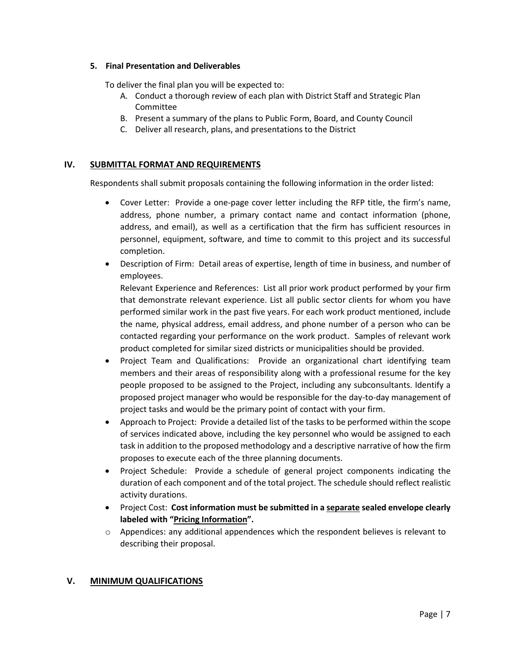#### **5. Final Presentation and Deliverables**

To deliver the final plan you will be expected to:

- A. Conduct a thorough review of each plan with District Staff and Strategic Plan Committee
- B. Present a summary of the plans to Public Form, Board, and County Council
- C. Deliver all research, plans, and presentations to the District

#### **IV. SUBMITTAL FORMAT AND REQUIREMENTS**

Respondents shall submit proposals containing the following information in the order listed:

- Cover Letter: Provide a one-page cover letter including the RFP title, the firm's name, address, phone number, a primary contact name and contact information (phone, address, and email), as well as a certification that the firm has sufficient resources in personnel, equipment, software, and time to commit to this project and its successful completion.
- Description of Firm: Detail areas of expertise, length of time in business, and number of employees.

Relevant Experience and References: List all prior work product performed by your firm that demonstrate relevant experience. List all public sector clients for whom you have performed similar work in the past five years. For each work product mentioned, include the name, physical address, email address, and phone number of a person who can be contacted regarding your performance on the work product. Samples of relevant work product completed for similar sized districts or municipalities should be provided.

- Project Team and Qualifications: Provide an organizational chart identifying team members and their areas of responsibility along with a professional resume for the key people proposed to be assigned to the Project, including any subconsultants. Identify a proposed project manager who would be responsible for the day-to-day management of project tasks and would be the primary point of contact with your firm.
- Approach to Project: Provide a detailed list of the tasks to be performed within the scope of services indicated above, including the key personnel who would be assigned to each task in addition to the proposed methodology and a descriptive narrative of how the firm proposes to execute each of the three planning documents.
- Project Schedule: Provide a schedule of general project components indicating the duration of each component and of the total project. The schedule should reflect realistic activity durations.
- Project Cost: **Cost information must be submitted in a separate sealed envelope clearly labeled with "Pricing Information".**
- $\circ$  Appendices: any additional appendences which the respondent believes is relevant to describing their proposal.

#### **V. MINIMUM QUALIFICATIONS**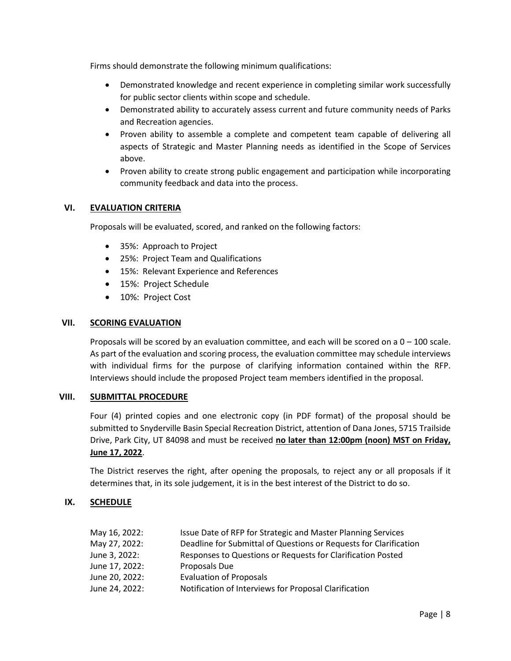Firms should demonstrate the following minimum qualifications:

- Demonstrated knowledge and recent experience in completing similar work successfully for public sector clients within scope and schedule.
- Demonstrated ability to accurately assess current and future community needs of Parks and Recreation agencies.
- Proven ability to assemble a complete and competent team capable of delivering all aspects of Strategic and Master Planning needs as identified in the Scope of Services above.
- Proven ability to create strong public engagement and participation while incorporating community feedback and data into the process.

#### **VI. EVALUATION CRITERIA**

Proposals will be evaluated, scored, and ranked on the following factors:

- 35%: Approach to Project
- 25%: Project Team and Qualifications
- 15%: Relevant Experience and References
- 15%: Project Schedule
- 10%: Project Cost

#### **VII. SCORING EVALUATION**

Proposals will be scored by an evaluation committee, and each will be scored on a  $0 - 100$  scale. As part of the evaluation and scoring process, the evaluation committee may schedule interviews with individual firms for the purpose of clarifying information contained within the RFP. Interviews should include the proposed Project team members identified in the proposal.

#### **VIII. SUBMITTAL PROCEDURE**

Four (4) printed copies and one electronic copy (in PDF format) of the proposal should be submitted to Snyderville Basin Special Recreation District, attention of Dana Jones, 5715 Trailside Drive, Park City, UT 84098 and must be received **no later than 12:00pm (noon) MST on Friday, June 17, 2022**.

The District reserves the right, after opening the proposals, to reject any or all proposals if it determines that, in its sole judgement, it is in the best interest of the District to do so.

#### **IX. SCHEDULE**

| May 16, 2022:  | Issue Date of RFP for Strategic and Master Planning Services      |
|----------------|-------------------------------------------------------------------|
| May 27, 2022:  | Deadline for Submittal of Questions or Requests for Clarification |
| June 3, 2022:  | Responses to Questions or Requests for Clarification Posted       |
| June 17, 2022: | Proposals Due                                                     |
| June 20, 2022: | <b>Evaluation of Proposals</b>                                    |
| June 24, 2022: | Notification of Interviews for Proposal Clarification             |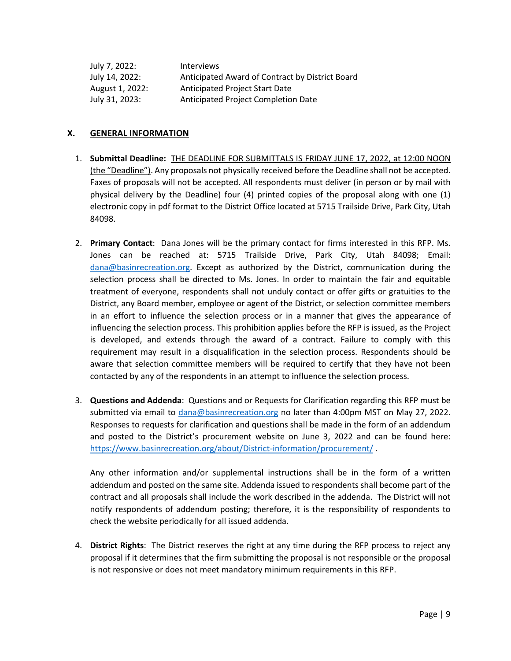| July 7, 2022:   | <b>Interviews</b>                               |
|-----------------|-------------------------------------------------|
| July 14, 2022:  | Anticipated Award of Contract by District Board |
| August 1, 2022: | Anticipated Project Start Date                  |
| July 31, 2023:  | Anticipated Project Completion Date             |

#### **X. GENERAL INFORMATION**

- 1. **Submittal Deadline:** THE DEADLINE FOR SUBMITTALS IS FRIDAY JUNE 17, 2022, at 12:00 NOON (the "Deadline"). Any proposals not physically received before the Deadline shall not be accepted. Faxes of proposals will not be accepted. All respondents must deliver (in person or by mail with physical delivery by the Deadline) four (4) printed copies of the proposal along with one (1) electronic copy in pdf format to the District Office located at 5715 Trailside Drive, Park City, Utah 84098.
- 2. **Primary Contact**: Dana Jones will be the primary contact for firms interested in this RFP. Ms. Jones can be reached at: 5715 Trailside Drive, Park City, Utah 84098; Email: [dana@basinrecreation.org.](mailto:dana@basinrecreation.org) Except as authorized by the District, communication during the selection process shall be directed to Ms. Jones. In order to maintain the fair and equitable treatment of everyone, respondents shall not unduly contact or offer gifts or gratuities to the District, any Board member, employee or agent of the District, or selection committee members in an effort to influence the selection process or in a manner that gives the appearance of influencing the selection process. This prohibition applies before the RFP is issued, as the Project is developed, and extends through the award of a contract. Failure to comply with this requirement may result in a disqualification in the selection process. Respondents should be aware that selection committee members will be required to certify that they have not been contacted by any of the respondents in an attempt to influence the selection process.
- 3. **Questions and Addenda**: Questions and or Requests for Clarification regarding this RFP must be submitted via email to [dana@basinrecreation.org](mailto:dana@basinrecreation.org) no later than 4:00pm MST on May 27, 2022. Responses to requests for clarification and questions shall be made in the form of an addendum and posted to the District's procurement website on June 3, 2022 and can be found here: [https://www.basinrecreation.org/about/District-information/procurement/](https://www.basinrecreation.org/about/district-information/procurement/) .

Any other information and/or supplemental instructions shall be in the form of a written addendum and posted on the same site. Addenda issued to respondents shall become part of the contract and all proposals shall include the work described in the addenda. The District will not notify respondents of addendum posting; therefore, it is the responsibility of respondents to check the website periodically for all issued addenda.

4. **District Rights**: The District reserves the right at any time during the RFP process to reject any proposal if it determines that the firm submitting the proposal is not responsible or the proposal is not responsive or does not meet mandatory minimum requirements in this RFP.